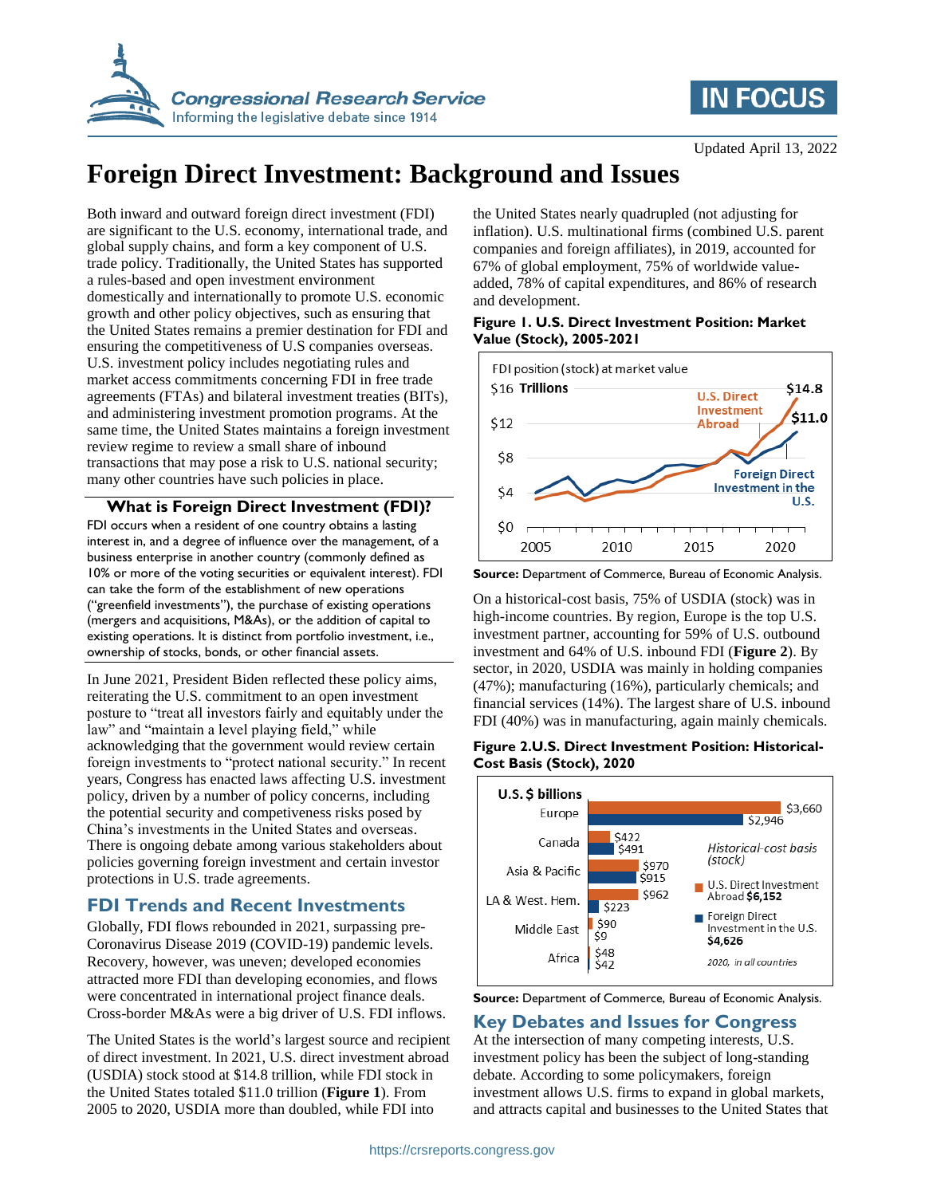

## **IN FOCUS**

# **Foreign Direct Investment: Background and Issues**

Both inward and outward foreign direct investment (FDI) are significant to the U.S. economy, international trade, and global supply chains, and form a key component of U.S. trade policy. Traditionally, the United States has supported a rules-based and open investment environment domestically and internationally to promote U.S. economic growth and other policy objectives, such as ensuring that the United States remains a premier destination for FDI and ensuring the competitiveness of U.S companies overseas. U.S. investment policy includes negotiating rules and market access commitments concerning FDI in free trade agreements (FTAs) and bilateral investment treaties (BITs), and administering investment promotion programs. At the same time, the United States maintains a foreign investment review regime to review a small share of inbound transactions that may pose a risk to U.S. national security; many other countries have such policies in place.

### **What is Foreign Direct Investment (FDI)?**

FDI occurs when a resident of one country obtains a lasting interest in, and a degree of influence over the management, of a business enterprise in another country (commonly defined as 10% or more of the voting securities or equivalent interest). FDI can take the form of the establishment of new operations ("greenfield investments"), the purchase of existing operations (mergers and acquisitions, M&As), or the addition of capital to existing operations. It is distinct from portfolio investment, i.e., ownership of stocks, bonds, or other financial assets.

In June 2021, President Biden reflected these policy aims, reiterating the U.S. commitment to an open investment posture to "treat all investors fairly and equitably under the law" and "maintain a level playing field," while acknowledging that the government would review certain foreign investments to "protect national security." In recent years, Congress has enacted laws affecting U.S. investment policy, driven by a number of policy concerns, including the potential security and competiveness risks posed by China's investments in the United States and overseas. There is ongoing debate among various stakeholders about policies governing foreign investment and certain investor protections in U.S. trade agreements.

## **FDI Trends and Recent Investments**

Globally, FDI flows rebounded in 2021, surpassing pre-Coronavirus Disease 2019 (COVID-19) pandemic levels. Recovery, however, was uneven; developed economies attracted more FDI than developing economies, and flows were concentrated in international project finance deals. Cross-border M&As were a big driver of U.S. FDI inflows.

The United States is the world's largest source and recipient of direct investment. In 2021, U.S. direct investment abroad (USDIA) stock stood at \$14.8 trillion, while FDI stock in the United States totaled \$11.0 trillion (**Figure 1**). From 2005 to 2020, USDIA more than doubled, while FDI into

the United States nearly quadrupled (not adjusting for inflation). U.S. multinational firms (combined U.S. parent companies and foreign affiliates), in 2019, accounted for 67% of global employment, 75% of worldwide valueadded, 78% of capital expenditures, and 86% of research and development.

#### **Figure 1. U.S. Direct Investment Position: Market Value (Stock), 2005-2021**



**Source:** Department of Commerce, Bureau of Economic Analysis.

On a historical-cost basis, 75% of USDIA (stock) was in high-income countries. By region, Europe is the top U.S. investment partner, accounting for 59% of U.S. outbound investment and 64% of U.S. inbound FDI (**Figure 2**). By sector, in 2020, USDIA was mainly in holding companies (47%); manufacturing (16%), particularly chemicals; and financial services (14%). The largest share of U.S. inbound FDI (40%) was in manufacturing, again mainly chemicals.

#### **Figure 2.U.S. Direct Investment Position: Historical-Cost Basis (Stock), 2020**



**Source:** Department of Commerce, Bureau of Economic Analysis.

## **Key Debates and Issues for Congress**

At the intersection of many competing interests, U.S. investment policy has been the subject of long-standing debate. According to some policymakers, foreign investment allows U.S. firms to expand in global markets, and attracts capital and businesses to the United States that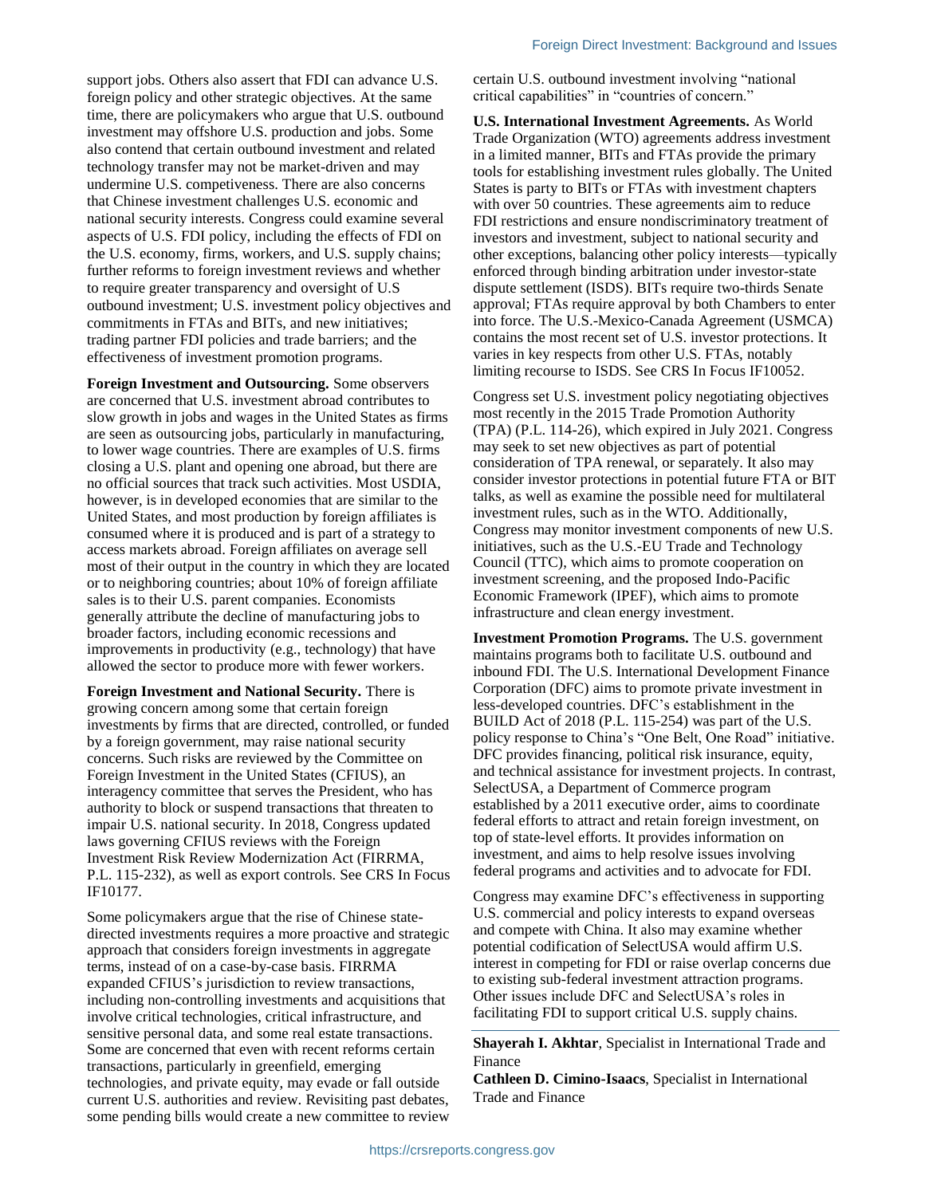support jobs. Others also assert that FDI can advance U.S. foreign policy and other strategic objectives. At the same time, there are policymakers who argue that U.S. outbound investment may offshore U.S. production and jobs. Some also contend that certain outbound investment and related technology transfer may not be market-driven and may undermine U.S. competiveness. There are also concerns that Chinese investment challenges U.S. economic and national security interests. Congress could examine several aspects of U.S. FDI policy, including the effects of FDI on the U.S. economy, firms, workers, and U.S. supply chains; further reforms to foreign investment reviews and whether to require greater transparency and oversight of U.S outbound investment; U.S. investment policy objectives and commitments in FTAs and BITs, and new initiatives; trading partner FDI policies and trade barriers; and the effectiveness of investment promotion programs.

**Foreign Investment and Outsourcing.** Some observers are concerned that U.S. investment abroad contributes to slow growth in jobs and wages in the United States as firms are seen as outsourcing jobs, particularly in manufacturing, to lower wage countries. There are examples of U.S. firms closing a U.S. plant and opening one abroad, but there are no official sources that track such activities. Most USDIA, however, is in developed economies that are similar to the United States, and most production by foreign affiliates is consumed where it is produced and is part of a strategy to access markets abroad. Foreign affiliates on average sell most of their output in the country in which they are located or to neighboring countries; about 10% of foreign affiliate sales is to their U.S. parent companies. Economists generally attribute the decline of manufacturing jobs to broader factors, including economic recessions and improvements in productivity (e.g., technology) that have allowed the sector to produce more with fewer workers.

**Foreign Investment and National Security.** There is growing concern among some that certain foreign investments by firms that are directed, controlled, or funded by a foreign government, may raise national security concerns. Such risks are reviewed by the Committee on Foreign Investment in the United States (CFIUS), an interagency committee that serves the President, who has authority to block or suspend transactions that threaten to impair U.S. national security. In 2018, Congress updated laws governing CFIUS reviews with the Foreign Investment Risk Review Modernization Act (FIRRMA, P.L. 115-232), as well as export controls. See CRS In Focus IF10177.

Some policymakers argue that the rise of Chinese statedirected investments requires a more proactive and strategic approach that considers foreign investments in aggregate terms, instead of on a case-by-case basis. FIRRMA expanded CFIUS's jurisdiction to review transactions, including non-controlling investments and acquisitions that involve critical technologies, critical infrastructure, and sensitive personal data, and some real estate transactions. Some are concerned that even with recent reforms certain transactions, particularly in greenfield, emerging technologies, and private equity, may evade or fall outside current U.S. authorities and review. Revisiting past debates, some pending bills would create a new committee to review certain U.S. outbound investment involving "national critical capabilities" in "countries of concern."

**U.S. International Investment Agreements.** As World Trade Organization (WTO) agreements address investment in a limited manner, BITs and FTAs provide the primary tools for establishing investment rules globally. The United States is party to BITs or FTAs with investment chapters with over 50 countries. These agreements aim to reduce FDI restrictions and ensure nondiscriminatory treatment of investors and investment, subject to national security and other exceptions, balancing other policy interests—typically enforced through binding arbitration under investor-state dispute settlement (ISDS). BITs require two-thirds Senate approval; FTAs require approval by both Chambers to enter into force. The U.S.-Mexico-Canada Agreement (USMCA) contains the most recent set of U.S. investor protections. It varies in key respects from other U.S. FTAs, notably limiting recourse to ISDS. See CRS In Focus IF10052.

Congress set U.S. investment policy negotiating objectives most recently in the 2015 Trade Promotion Authority (TPA) (P.L. 114-26), which expired in July 2021. Congress may seek to set new objectives as part of potential consideration of TPA renewal, or separately. It also may consider investor protections in potential future FTA or BIT talks, as well as examine the possible need for multilateral investment rules, such as in the WTO. Additionally, Congress may monitor investment components of new U.S. initiatives, such as the U.S.-EU Trade and Technology Council (TTC), which aims to promote cooperation on investment screening, and the proposed Indo-Pacific Economic Framework (IPEF), which aims to promote infrastructure and clean energy investment.

**Investment Promotion Programs.** The U.S. government maintains programs both to facilitate U.S. outbound and inbound FDI. The U.S. International Development Finance Corporation (DFC) aims to promote private investment in less-developed countries. DFC's establishment in the BUILD Act of 2018 (P.L. 115-254) was part of the U.S. policy response to China's "One Belt, One Road" initiative. DFC provides financing, political risk insurance, equity, and technical assistance for investment projects. In contrast, SelectUSA, a Department of Commerce program established by a 2011 executive order, aims to coordinate federal efforts to attract and retain foreign investment, on top of state-level efforts. It provides information on investment, and aims to help resolve issues involving federal programs and activities and to advocate for FDI.

Congress may examine DFC's effectiveness in supporting U.S. commercial and policy interests to expand overseas and compete with China. It also may examine whether potential codification of SelectUSA would affirm U.S. interest in competing for FDI or raise overlap concerns due to existing sub-federal investment attraction programs. Other issues include DFC and SelectUSA's roles in facilitating FDI to support critical U.S. supply chains.

**Shayerah I. Akhtar**, Specialist in International Trade and Finance

**Cathleen D. Cimino-Isaacs**, Specialist in International Trade and Finance